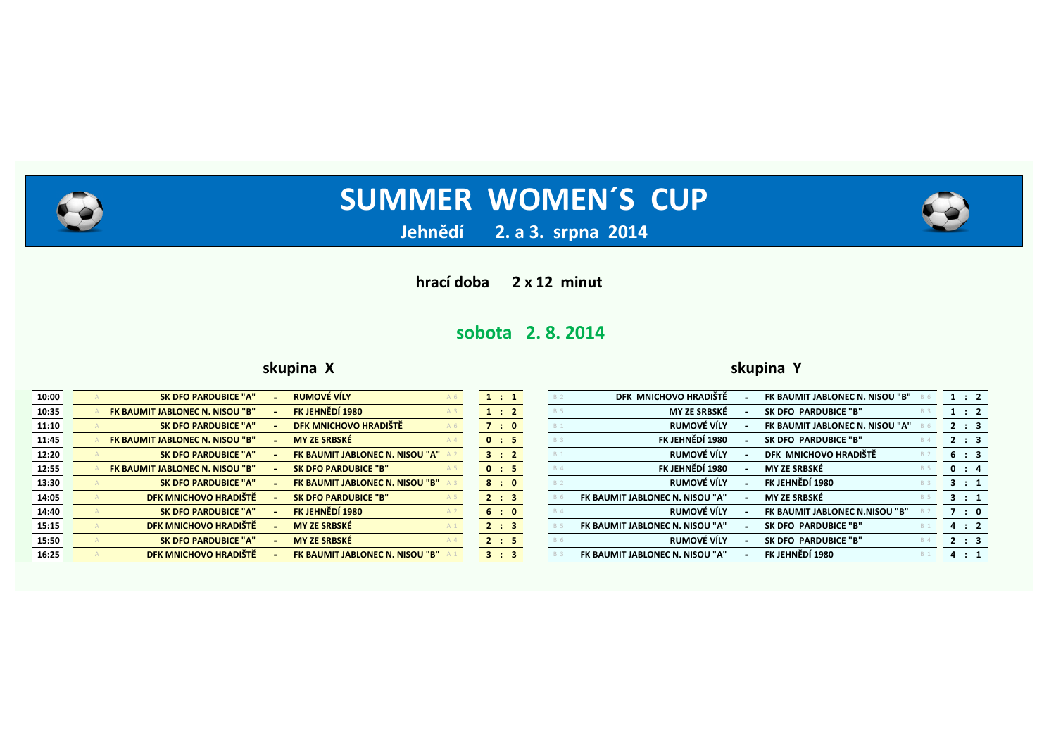

**2. a 3. srpna 2014** 

**hrací doba 2 x 12 minut** 

# **sobota 2. 8. 2014**

### **skupina X skupina Y**

| 10:00 | <b>SK DFO PARDUBICE "A"</b>     | <b>RUMOVÉ VÍLY</b>                     | 1:1   |            | DFK MNICHOVO HRADIŠTĚ           | FK BAUMIT JABLONEC N. NISOU "B" | 1:2   |  |
|-------|---------------------------------|----------------------------------------|-------|------------|---------------------------------|---------------------------------|-------|--|
| 10:35 | FK BAUMIT JABLONEC N. NISOU "B" | FK JEHNĚDÍ 1980                        | 1 : 2 | <b>B</b> 5 | <b>MY ZE SRBSKÉ</b>             | SK DFO PARDUBICE "B"            | 1:2   |  |
| 11:10 | <b>SK DFO PARDUBICE "A"</b>     | DFK MNICHOVO HRADIŠTĚ<br>A 6           | 7:0   | <b>B</b> 1 | RUMOVÉ VÍLY                     | FK BAUMIT JABLONEC N. NISOU "A" | 2 : 3 |  |
| 11:45 | FK BAUMIT JABLONEC N. NISOU "B" | <b>MY ZE SRBSKÉ</b><br>$A_4$           | 0 : 5 | <b>B</b> 3 | FK JEHNĚDÍ 1980                 | SK DFO PARDUBICE "B"            | 2 : 3 |  |
| 12:20 | <b>SK DFO PARDUBICE "A"</b>     | <b>FK BAUMIT JABLONEC N. NISOU "A"</b> | 3:2   | <b>B</b> 1 | RUMOVÉ VÍLY                     | DFK MNICHOVO HRADIŠTĚ           | 6 : 3 |  |
| 12:55 | FK BAUMIT JABLONEC N. NISOU "B" | <b>SK DFO PARDUBICE "B"</b>            | 0 : 5 | <b>B</b> 4 | FK JEHNĚDÍ 1980                 | <b>MY ZE SRBSKÉ</b>             | 0 : 4 |  |
| 13:30 | <b>SK DFO PARDUBICE "A"</b>     | <b>FK BAUMIT JABLONEC N. NISOU "B"</b> | 8:0   |            | RUMOVÉ VÍLY                     | FK JEHNĚDÍ 1980                 | 3 : 1 |  |
| 14:05 | DFK MNICHOVO HRADIŠTĚ           | <b>SK DFO PARDUBICE "B"</b>            | 2 : 3 |            | FK BAUMIT JABLONEC N. NISOU "A" | <b>MY ZE SRBSKÉ</b>             | 3 : 1 |  |
| 14:40 | <b>SK DFO PARDUBICE "A"</b>     | FK JEHNĚDÍ 1980                        | 6:0   | <b>B</b> 4 | RUMOVÉ VÍLY                     | FK BAUMIT JABLONEC N.NISOU "B"  | 7:0   |  |
| 15:15 | DFK MNICHOVO HRADIŠTĚ           | <b>MY ZE SRBSKÉ</b>                    | 2 : 3 |            | FK BAUMIT JABLONEC N. NISOU "A" | SK DFO PARDUBICE "B"            | 4:2   |  |
| 15:50 | <b>SK DFO PARDUBICE "A"</b>     | <b>MY ZE SRBSKÉ</b><br>$A_4$           | 2 : 5 |            | RUMOVÉ VÍLY                     | SK DFO PARDUBICE "B"            | 2 : 3 |  |
| 16:25 | DFK MNICHOVO HRADIŠTĚ           | <b>FK BAUMIT JABLONEC N. NISOU "B"</b> | 3 : 3 |            | FK BAUMIT JABLONEC N. NISOU "A" | FK JEHNĚDÍ 1980                 | 4 : 1 |  |
|       |                                 |                                        |       |            |                                 |                                 |       |  |

| DFK MNICHOVO HRADIŠTĚ<br><b>B</b> 2           |   | FK BAUMIT JABLONEC N. NISOU "B" | <b>B</b> 6 | $\mathbf{1}$ | $\therefore$ 2 |  |
|-----------------------------------------------|---|---------------------------------|------------|--------------|----------------|--|
| <b>MY ZE SRBSKÉ</b><br><b>B</b> 5             |   | SK DFO PARDUBICE "B"            | <b>B</b> 3 | 1            | $\therefore$ 2 |  |
| RUMOVÉ VÍLY<br><b>B</b> 1                     |   | FK BAUMIT JABLONEC N. NISOU "A" | <b>B</b> 6 | $\mathbf{2}$ | $\therefore$ 3 |  |
| FK JEHNĚDÍ 1980<br><b>B</b> 3                 | - | SK DFO PARDUBICE "B"            | <b>B</b> 4 | $2^{\circ}$  | $\therefore$ 3 |  |
| <b>RUMOVÉ VÍLY</b><br><b>B</b> 1              |   | DFK MNICHOVO HRADIŠTĚ           | <b>B</b> 2 |              | 6 : 3          |  |
| FK JEHNĚDÍ 1980<br><b>B</b> 4                 |   | <b>MY ZE SRBSKÉ</b>             | <b>B</b> 5 | 0            | $\therefore$ 4 |  |
| RUMOVÉ VÍLY<br><b>B</b> 2                     |   | FK JEHNĚDÍ 1980                 | <b>B</b> 3 | 3            | $\therefore$ 1 |  |
| FK BAUMIT JABLONEC N. NISOU "A"<br><b>B</b> 6 |   | <b>MY ZE SRBSKÉ</b>             | <b>B</b> 5 | 3.           | $\therefore$ 1 |  |
| RUMOVÉ VÍLY<br><b>B</b> 4                     |   | FK BAUMIT JABLONEC N.NISOU "B"  | <b>B</b> 2 | 7            | $\therefore$ 0 |  |
| FK BAUMIT JABLONEC N. NISOU "A"<br><b>B</b> 5 |   | SK DFO PARDUBICE "B"            | <b>B</b> 1 |              | 4:2            |  |
| <b>RUMOVÉ VÍLY</b><br><b>B</b> 6              |   | SK DFO PARDUBICE "B"            | <b>B</b> 4 | $\mathbf{2}$ | $\therefore$ 3 |  |
| FK BAUMIT JABLONEC N. NISOU "A"<br><b>B</b> 3 |   | FK JEHNĚDÍ 1980                 | <b>B</b> 1 | 4            | $\therefore$ 1 |  |